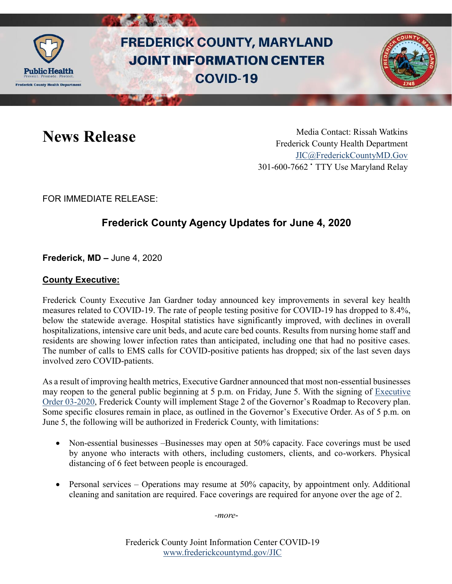

# **FREDERICK COUNTY, MARYLAND JOINT INFORMATION CENTER COVID-19**



News Release Media Contact: Rissah Watkins Frederick County Health Department [JIC@FrederickCountyMD.Gov](mailto:JIC@FrederickCountyMD.Gov) 301-600-7662 • TTY Use Maryland Relay

FOR IMMEDIATE RELEASE:

## **Frederick County Agency Updates for June 4, 2020**

**Frederick, MD –** June 4, 2020

### **County Executive:**

Frederick County Executive Jan Gardner today announced key improvements in several key health measures related to COVID-19. The rate of people testing positive for COVID-19 has dropped to 8.4%, below the statewide average. Hospital statistics have significantly improved, with declines in overall hospitalizations, intensive care unit beds, and acute care bed counts. Results from nursing home staff and residents are showing lower infection rates than anticipated, including one that had no positive cases. The number of calls to EMS calls for COVID-positive patients has dropped; six of the last seven days involved zero COVID-patients.

As a result of improving health metrics, Executive Gardner announced that most non-essential businesses may reopen to the general public beginning at 5 p.m. on Friday, June 5. With the signing of [Executive](https://frederickcountymd.gov/ArchiveCenter/ViewFile/Item/11645)  [Order 03-2020,](https://frederickcountymd.gov/ArchiveCenter/ViewFile/Item/11645) Frederick County will implement Stage 2 of the Governor's Roadmap to Recovery plan. Some specific closures remain in place, as outlined in the Governor's Executive Order. As of 5 p.m. on June 5, the following will be authorized in Frederick County, with limitations:

- Non-essential businesses –Businesses may open at 50% capacity. Face coverings must be used by anyone who interacts with others, including customers, clients, and co-workers. Physical distancing of 6 feet between people is encouraged.
- Personal services Operations may resume at 50% capacity, by appointment only. Additional cleaning and sanitation are required. Face coverings are required for anyone over the age of 2.

*-more*-

Frederick County Joint Information Center COVID-19 [www.frederickcountymd.gov/JIC](https://frederickcountymd.gov/JIC)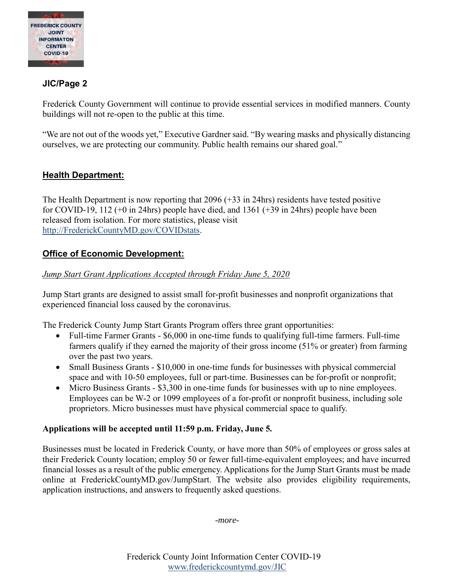

#### **JIC/Page 2**

Frederick County Government will continue to provide essential services in modified manners. County buildings will not re-open to the public at this time.

"We are not out of the woods yet," Executive Gardner said. "By wearing masks and physically distancing ourselves, we are protecting our community. Public health remains our shared goal."

### **Health Department:**

The Health Department is now reporting that 2096 (+33 in 24hrs) residents have tested positive for COVID-19, 112 (+0 in 24hrs) people have died, and 1361 (+39 in 24hrs) people have been released from isolation. For more statistics, please visit [http://FrederickCountyMD.gov/COVIDstats.](http://frederickcountymd.gov/COVIDstats)

#### **Office of Economic Development:**

#### *Jump Start Grant Applications Accepted through Friday June 5, 2020*

Jump Start grants are designed to assist small for-profit businesses and nonprofit organizations that experienced financial loss caused by the coronavirus.

The Frederick County Jump Start Grants Program offers three grant opportunities:

- Full-time Farmer Grants \$6,000 in one-time funds to qualifying full-time farmers. Full-time farmers qualify if they earned the majority of their gross income (51% or greater) from farming over the past two years.
- Small Business Grants \$10,000 in one-time funds for businesses with physical commercial space and with 10-50 employees, full or part-time. Businesses can be for-profit or nonprofit;
- Micro Business Grants \$3,300 in one-time funds for businesses with up to nine employees. Employees can be W-2 or 1099 employees of a for-profit or nonprofit business, including sole proprietors. Micro businesses must have physical commercial space to qualify.

#### **Applications will be accepted until 11:59 p.m. Friday, June 5***.*

Businesses must be located in Frederick County, or have more than 50% of employees or gross sales at their Frederick County location; employ 50 or fewer full-time-equivalent employees; and have incurred financial losses as a result of the public emergency. Applications for the Jump Start Grants must be made online at FrederickCountyMD.gov/JumpStart. The website also provides eligibility requirements, application instructions, and answers to frequently asked questions.

*-more-*